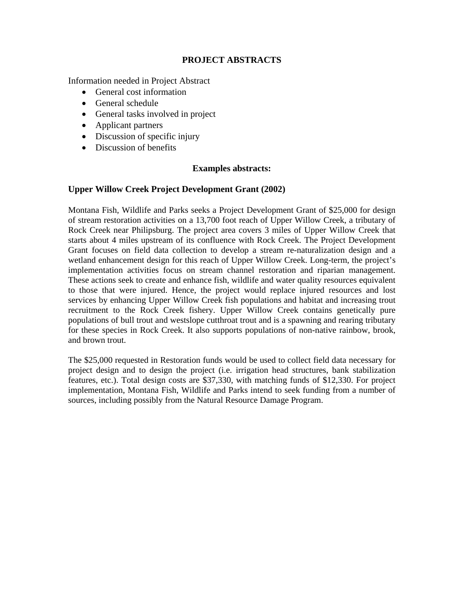# **PROJECT ABSTRACTS**

Information needed in Project Abstract

- General cost information
- General schedule
- General tasks involved in project
- Applicant partners
- Discussion of specific injury
- Discussion of benefits

# **Examples abstracts:**

# **Upper Willow Creek Project Development Grant (2002)**

Montana Fish, Wildlife and Parks seeks a Project Development Grant of \$25,000 for design of stream restoration activities on a 13,700 foot reach of Upper Willow Creek, a tributary of Rock Creek near Philipsburg. The project area covers 3 miles of Upper Willow Creek that starts about 4 miles upstream of its confluence with Rock Creek. The Project Development Grant focuses on field data collection to develop a stream re-naturalization design and a wetland enhancement design for this reach of Upper Willow Creek. Long-term, the project's implementation activities focus on stream channel restoration and riparian management. These actions seek to create and enhance fish, wildlife and water quality resources equivalent to those that were injured. Hence, the project would replace injured resources and lost services by enhancing Upper Willow Creek fish populations and habitat and increasing trout recruitment to the Rock Creek fishery. Upper Willow Creek contains genetically pure populations of bull trout and westslope cutthroat trout and is a spawning and rearing tributary for these species in Rock Creek. It also supports populations of non-native rainbow, brook, and brown trout.

The \$25,000 requested in Restoration funds would be used to collect field data necessary for project design and to design the project (i.e. irrigation head structures, bank stabilization features, etc.). Total design costs are \$37,330, with matching funds of \$12,330. For project implementation, Montana Fish, Wildlife and Parks intend to seek funding from a number of sources, including possibly from the Natural Resource Damage Program.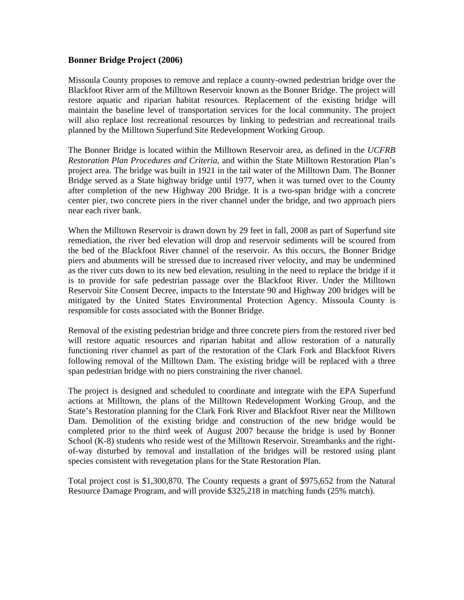#### **Bonner Bridge Project (2006)**

Missoula County proposes to remove and replace a county-owned pedestrian bridge over the Blackfoot River arm of the Milltown Reservoir known as the Bonner Bridge. The project will restore aquatic and riparian habitat resources. Replacement of the existing bridge will maintain the baseline level of transportation services for the local community. The project will also replace lost recreational resources by linking to pedestrian and recreational trails planned by the Milltown Superfund Site Redevelopment Working Group.

The Bonner Bridge is located within the Milltown Reservoir area, as defined in the *UCFRB Restoration Plan Procedures and Criteria*, and within the State Milltown Restoration Plan's project area. The bridge was built in 1921 in the tail water of the Milltown Dam. The Bonner Bridge served as a State highway bridge until 1977, when it was turned over to the County after completion of the new Highway 200 Bridge. It is a two-span bridge with a concrete center pier, two concrete piers in the river channel under the bridge, and two approach piers near each river bank.

When the Milltown Reservoir is drawn down by 29 feet in fall, 2008 as part of Superfund site remediation, the river bed elevation will drop and reservoir sediments will be scoured from the bed of the Blackfoot River channel of the reservoir. As this occurs, the Bonner Bridge piers and abutments will be stressed due to increased river velocity, and may be undermined as the river cuts down to its new bed elevation, resulting in the need to replace the bridge if it is to provide for safe pedestrian passage over the Blackfoot River. Under the Milltown Reservoir Site Consent Decree, impacts to the Interstate 90 and Highway 200 bridges will be mitigated by the United States Environmental Protection Agency. Missoula County is responsible for costs associated with the Bonner Bridge.

Removal of the existing pedestrian bridge and three concrete piers from the restored river bed will restore aquatic resources and riparian habitat and allow restoration of a naturally functioning river channel as part of the restoration of the Clark Fork and Blackfoot Rivers following removal of the Milltown Dam. The existing bridge will be replaced with a three span pedestrian bridge with no piers constraining the river channel.

The project is designed and scheduled to coordinate and integrate with the EPA Superfund actions at Milltown, the plans of the Milltown Redevelopment Working Group, and the State's Restoration planning for the Clark Fork River and Blackfoot River near the Milltown Dam. Demolition of the existing bridge and construction of the new bridge would be completed prior to the third week of August 2007 because the bridge is used by Bonner School (K-8) students who reside west of the Milltown Reservoir. Streambanks and the rightof-way disturbed by removal and installation of the bridges will be restored using plant species consistent with revegetation plans for the State Restoration Plan.

Total project cost is \$1,300,870. The County requests a grant of \$975,652 from the Natural Resource Damage Program, and will provide \$325,218 in matching funds (25% match).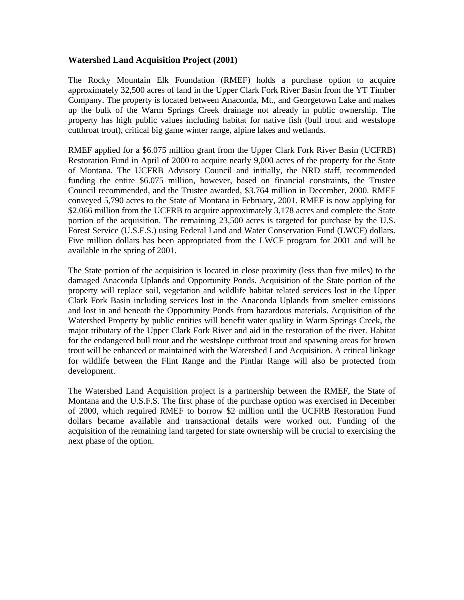### **Watershed Land Acquisition Project (2001)**

The Rocky Mountain Elk Foundation (RMEF) holds a purchase option to acquire approximately 32,500 acres of land in the Upper Clark Fork River Basin from the YT Timber Company. The property is located between Anaconda, Mt., and Georgetown Lake and makes up the bulk of the Warm Springs Creek drainage not already in public ownership. The property has high public values including habitat for native fish (bull trout and westslope cutthroat trout), critical big game winter range, alpine lakes and wetlands.

RMEF applied for a \$6.075 million grant from the Upper Clark Fork River Basin (UCFRB) Restoration Fund in April of 2000 to acquire nearly 9,000 acres of the property for the State of Montana. The UCFRB Advisory Council and initially, the NRD staff, recommended funding the entire \$6.075 million, however, based on financial constraints, the Trustee Council recommended, and the Trustee awarded, \$3.764 million in December, 2000. RMEF conveyed 5,790 acres to the State of Montana in February, 2001. RMEF is now applying for \$2.066 million from the UCFRB to acquire approximately 3,178 acres and complete the State portion of the acquisition. The remaining 23,500 acres is targeted for purchase by the U.S. Forest Service (U.S.F.S.) using Federal Land and Water Conservation Fund (LWCF) dollars. Five million dollars has been appropriated from the LWCF program for 2001 and will be available in the spring of 2001.

The State portion of the acquisition is located in close proximity (less than five miles) to the damaged Anaconda Uplands and Opportunity Ponds. Acquisition of the State portion of the property will replace soil, vegetation and wildlife habitat related services lost in the Upper Clark Fork Basin including services lost in the Anaconda Uplands from smelter emissions and lost in and beneath the Opportunity Ponds from hazardous materials. Acquisition of the Watershed Property by public entities will benefit water quality in Warm Springs Creek, the major tributary of the Upper Clark Fork River and aid in the restoration of the river. Habitat for the endangered bull trout and the westslope cutthroat trout and spawning areas for brown trout will be enhanced or maintained with the Watershed Land Acquisition. A critical linkage for wildlife between the Flint Range and the Pintlar Range will also be protected from development.

The Watershed Land Acquisition project is a partnership between the RMEF, the State of Montana and the U.S.F.S. The first phase of the purchase option was exercised in December of 2000, which required RMEF to borrow \$2 million until the UCFRB Restoration Fund dollars became available and transactional details were worked out. Funding of the acquisition of the remaining land targeted for state ownership will be crucial to exercising the next phase of the option.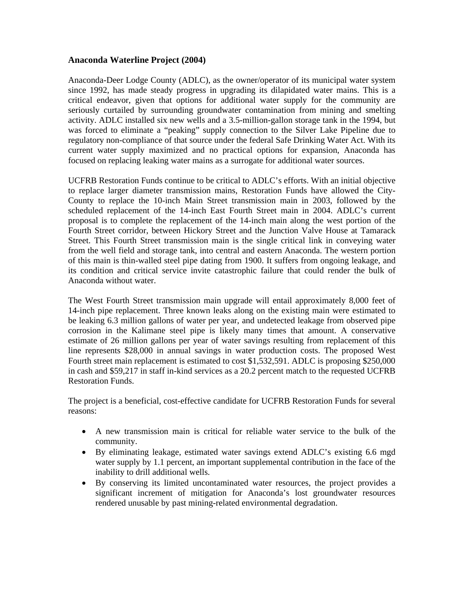### **Anaconda Waterline Project (2004)**

Anaconda-Deer Lodge County (ADLC), as the owner/operator of its municipal water system since 1992, has made steady progress in upgrading its dilapidated water mains. This is a critical endeavor, given that options for additional water supply for the community are seriously curtailed by surrounding groundwater contamination from mining and smelting activity. ADLC installed six new wells and a 3.5-million-gallon storage tank in the 1994, but was forced to eliminate a "peaking" supply connection to the Silver Lake Pipeline due to regulatory non-compliance of that source under the federal Safe Drinking Water Act. With its current water supply maximized and no practical options for expansion, Anaconda has focused on replacing leaking water mains as a surrogate for additional water sources.

UCFRB Restoration Funds continue to be critical to ADLC's efforts. With an initial objective to replace larger diameter transmission mains, Restoration Funds have allowed the City-County to replace the 10-inch Main Street transmission main in 2003, followed by the scheduled replacement of the 14-inch East Fourth Street main in 2004. ADLC's current proposal is to complete the replacement of the 14-inch main along the west portion of the Fourth Street corridor, between Hickory Street and the Junction Valve House at Tamarack Street. This Fourth Street transmission main is the single critical link in conveying water from the well field and storage tank, into central and eastern Anaconda. The western portion of this main is thin-walled steel pipe dating from 1900. It suffers from ongoing leakage, and its condition and critical service invite catastrophic failure that could render the bulk of Anaconda without water.

The West Fourth Street transmission main upgrade will entail approximately 8,000 feet of 14-inch pipe replacement. Three known leaks along on the existing main were estimated to be leaking 6.3 million gallons of water per year, and undetected leakage from observed pipe corrosion in the Kalimane steel pipe is likely many times that amount. A conservative estimate of 26 million gallons per year of water savings resulting from replacement of this line represents \$28,000 in annual savings in water production costs. The proposed West Fourth street main replacement is estimated to cost \$1,532,591. ADLC is proposing \$250,000 in cash and \$59,217 in staff in-kind services as a 20.2 percent match to the requested UCFRB Restoration Funds.

The project is a beneficial, cost-effective candidate for UCFRB Restoration Funds for several reasons:

- A new transmission main is critical for reliable water service to the bulk of the community.
- By eliminating leakage, estimated water savings extend ADLC's existing 6.6 mgd water supply by 1.1 percent, an important supplemental contribution in the face of the inability to drill additional wells.
- By conserving its limited uncontaminated water resources, the project provides a significant increment of mitigation for Anaconda's lost groundwater resources rendered unusable by past mining-related environmental degradation.